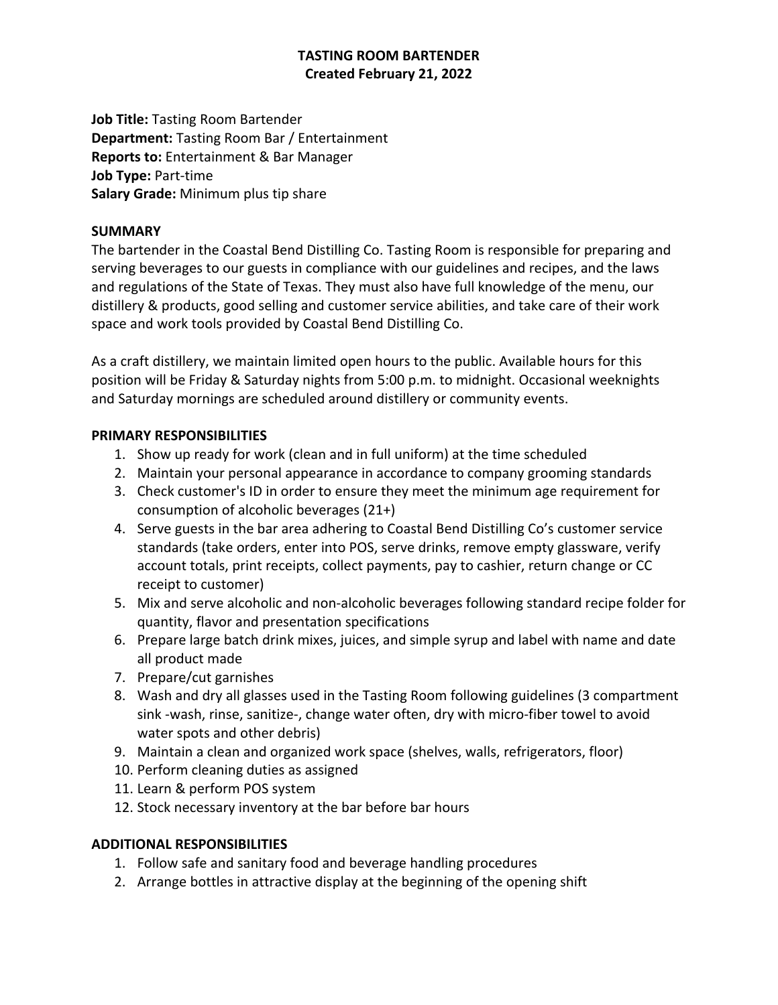# **TASTING ROOM BARTENDER Created February 21, 2022**

**Job Title:** Tasting Room Bartender **Department:** Tasting Room Bar / Entertainment **Reports to:** Entertainment & Bar Manager **Job Type:** Part-time **Salary Grade:** Minimum plus tip share

### **SUMMARY**

The bartender in the Coastal Bend Distilling Co. Tasting Room is responsible for preparing and serving beverages to our guests in compliance with our guidelines and recipes, and the laws and regulations of the State of Texas. They must also have full knowledge of the menu, our distillery & products, good selling and customer service abilities, and take care of their work space and work tools provided by Coastal Bend Distilling Co.

As a craft distillery, we maintain limited open hours to the public. Available hours for this position will be Friday & Saturday nights from 5:00 p.m. to midnight. Occasional weeknights and Saturday mornings are scheduled around distillery or community events.

## **PRIMARY RESPONSIBILITIES**

- 1. Show up ready for work (clean and in full uniform) at the time scheduled
- 2. Maintain your personal appearance in accordance to company grooming standards
- 3. Check customer's ID in order to ensure they meet the minimum age requirement for consumption of alcoholic beverages (21+)
- 4. Serve guests in the bar area adhering to Coastal Bend Distilling Co's customer service standards (take orders, enter into POS, serve drinks, remove empty glassware, verify account totals, print receipts, collect payments, pay to cashier, return change or CC receipt to customer)
- 5. Mix and serve alcoholic and non-alcoholic beverages following standard recipe folder for quantity, flavor and presentation specifications
- 6. Prepare large batch drink mixes, juices, and simple syrup and label with name and date all product made
- 7. Prepare/cut garnishes
- 8. Wash and dry all glasses used in the Tasting Room following guidelines (3 compartment sink -wash, rinse, sanitize-, change water often, dry with micro-fiber towel to avoid water spots and other debris)
- 9. Maintain a clean and organized work space (shelves, walls, refrigerators, floor)
- 10. Perform cleaning duties as assigned
- 11. Learn & perform POS system
- 12. Stock necessary inventory at the bar before bar hours

# **ADDITIONAL RESPONSIBILITIES**

- 1. Follow safe and sanitary food and beverage handling procedures
- 2. Arrange bottles in attractive display at the beginning of the opening shift